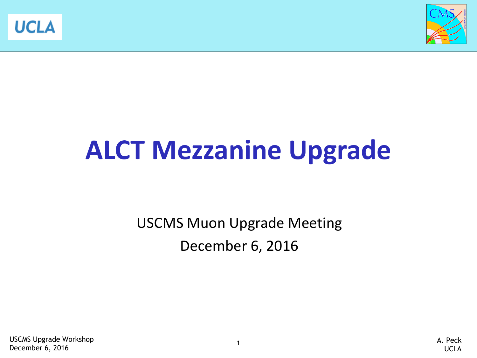



# **ALCT Mezzanine Upgrade**

USCMS Muon Upgrade Meeting December 6, 2016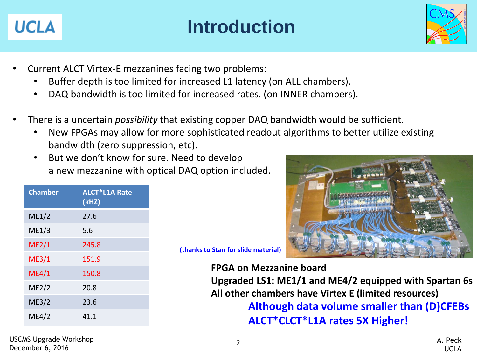

### **Introduction**



- Current ALCT Virtex-E mezzanines facing two problems:
	- Buffer depth is too limited for increased L1 latency (on ALL chambers).
	- DAQ bandwidth is too limited for increased rates. (on INNER chambers).
- There is a uncertain *possibility* that existing copper DAQ bandwidth would be sufficient.
	- New FPGAs may allow for more sophisticated readout algorithms to better utilize existing bandwidth (zero suppression, etc).
	- But we don't know for sure. Need to develop a new mezzanine with optical DAQ option included.

| <b>Chamber</b> | <b>ALCT*L1A Rate</b><br>(kHZ) |
|----------------|-------------------------------|
| ME1/2          | 27.6                          |
| ME1/3          | 5.6                           |
| ME2/1          | 245.8                         |
| ME3/1          | 151.9                         |
| ME4/1          | 150.8                         |
| ME2/2          | 20.8                          |
| ME3/2          | 23.6                          |
| ME4/2          | 41.1                          |
|                |                               |



**(an for slide material)** 

**FPGA on Mezzanine board**

**Upgraded LS1: ME1/1 and ME4/2 equipped with Spartan 6s All other chambers have Virtex E (limited resources) Although data volume smaller than (D)CFEBs ALCT\*CLCT\*L1A rates 5X Higher!**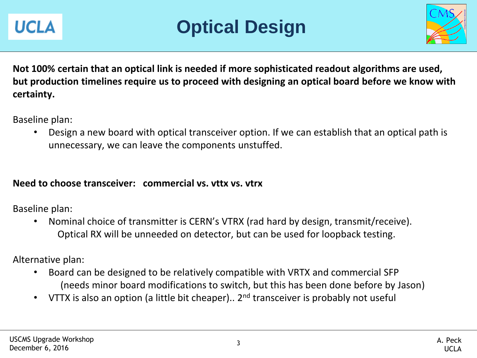



**Not 100% certain that an optical link is needed if more sophisticated readout algorithms are used, but production timelines require us to proceed with designing an optical board before we know with certainty.** 

Baseline plan:

• Design a new board with optical transceiver option. If we can establish that an optical path is unnecessary, we can leave the components unstuffed.

#### **Need to choose transceiver: commercial vs. vttx vs. vtrx**

Baseline plan:

• Nominal choice of transmitter is CERN's VTRX (rad hard by design, transmit/receive). Optical RX will be unneeded on detector, but can be used for loopback testing.

Alternative plan:

- Board can be designed to be relatively compatible with VRTX and commercial SFP (needs minor board modifications to switch, but this has been done before by Jason)
- VTTX is also an option (a little bit cheaper).. 2<sup>nd</sup> transceiver is probably not useful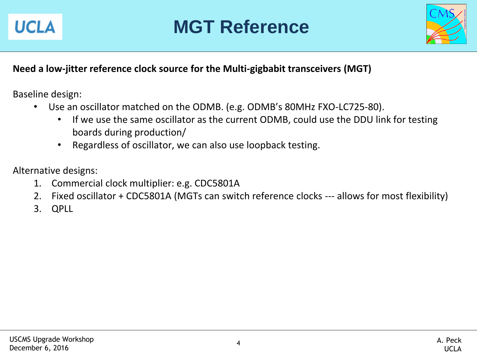

### **MGT Reference**



### **Need a low-jitter reference clock source for the Multi-gigbabit transceivers (MGT)**

Baseline design:

- Use an oscillator matched on the ODMB. (e.g. ODMB's 80MHz FXO-LC725-80).
	- If we use the same oscillator as the current ODMB, could use the DDU link for testing boards during production/
	- Regardless of oscillator, we can also use loopback testing.

Alternative designs:

- 1. Commercial clock multiplier: e.g. CDC5801A
- 2. Fixed oscillator + CDC5801A (MGTs can switch reference clocks --- allows for most flexibility)
- 3. QPLL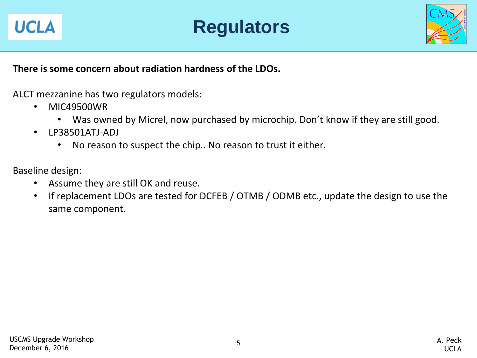



#### **There is some concern about radiation hardness of the LDOs.**

ALCT mezzanine has two regulators models:

- MIC49500WR
	- Was owned by Micrel, now purchased by microchip. Don't know if they are still good.
- LP38501ATJ-ADJ
	- No reason to suspect the chip.. No reason to trust it either.

Baseline design:

- Assume they are still OK and reuse.
- If replacement LDOs are tested for DCFEB / OTMB / ODMB etc., update the design to use the same component.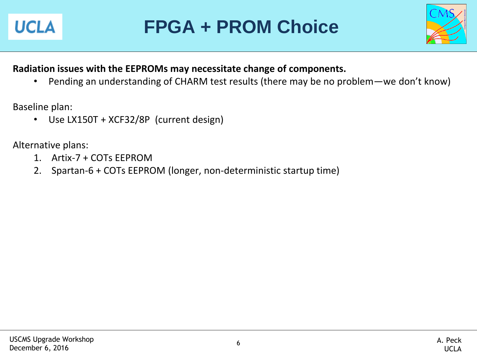

## **FPGA + PROM Choice**



### **Radiation issues with the EEPROMs may necessitate change of components.**

• Pending an understanding of CHARM test results (there may be no problem—we don't know)

Baseline plan:

• Use LX150T + XCF32/8P (current design)

Alternative plans:

- 1. Artix-7 + COTs EEPROM
- 2. Spartan-6 + COTs EEPROM (longer, non-deterministic startup time)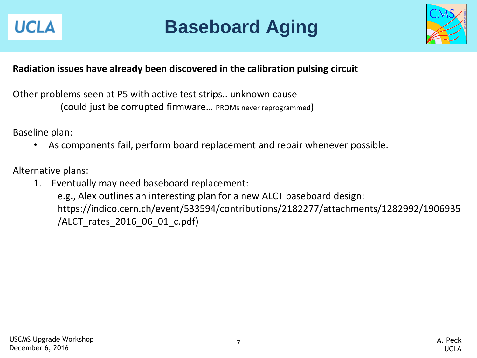

### **Baseboard Aging**



### **Radiation issues have already been discovered in the calibration pulsing circuit**

Other problems seen at P5 with active test strips.. unknown cause (could just be corrupted firmware… PROMs never reprogrammed)

Baseline plan:

• As components fail, perform board replacement and repair whenever possible.

Alternative plans:

1. Eventually may need baseboard replacement: e.g., Alex outlines an interesting plan for a new ALCT baseboard design: https://indico.cern.ch/event/533594/contributions/2182277/attachments/1282992/1906935 /ALCT\_rates\_2016\_06\_01\_c.pdf)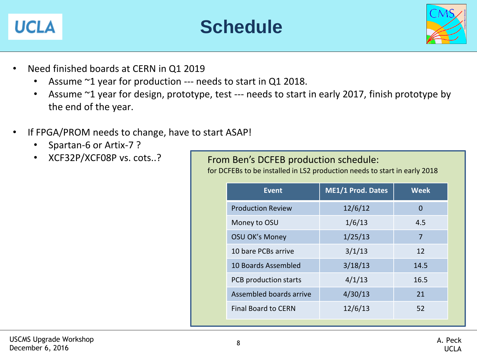### **UCLA**





- Need finished boards at CERN in Q1 2019
	- Assume ~1 year for production --- needs to start in Q1 2018.
	- Assume ~1 year for design, prototype, test --- needs to start in early 2017, finish prototype by the end of the year.
- If FPGA/PROM needs to change, have to start ASAP!
	- Spartan-6 or Artix-7 ?
	- XCF32P/XCF08P vs. cots..?

From Ben's DCFEB production schedule: for DCFEBs to be installed in LS2 production needs to start in early 2018

| <b>Event</b>               | <b>ME1/1 Prod. Dates</b> | <b>Week</b> |
|----------------------------|--------------------------|-------------|
| <b>Production Review</b>   | 12/6/12                  | 0           |
| Money to OSU               | 1/6/13                   | 4.5         |
| <b>OSU OK's Money</b>      | 1/25/13                  | 7           |
| 10 bare PCBs arrive        | 3/1/13                   | 12          |
| 10 Boards Assembled        | 3/18/13                  | 14.5        |
| PCB production starts      | 4/1/13                   | 16.5        |
| Assembled boards arrive    | 4/30/13                  | 21          |
| <b>Final Board to CERN</b> | 12/6/13                  | 52          |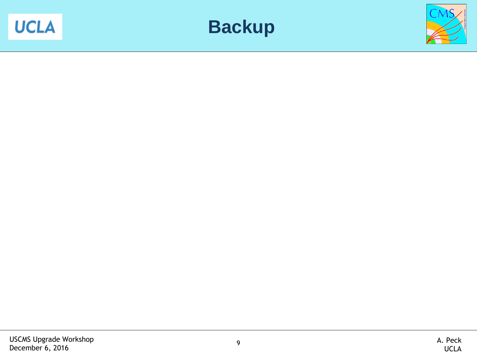



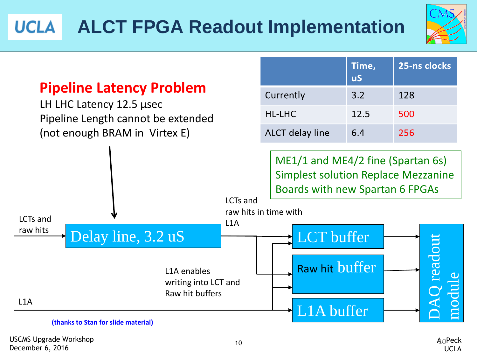